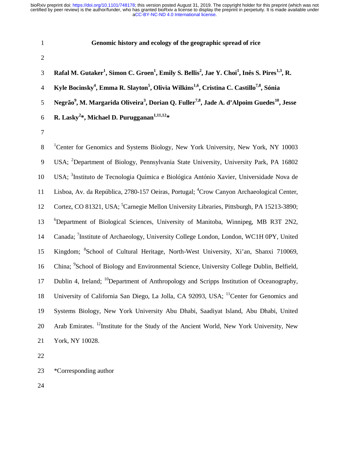- 1 **Genomic history and ecology of the geographic spread of rice**
- 2

**Rafal M. Gutaker<sup>1</sup> , Simon C. Groen1 , Emily S. Bellis<sup>2</sup> , Jae Y. Choi<sup>1</sup> , Inês S. Pires1,3** 3 **, R. Kyle Bocinsky4 , Emma R. Slayton5 , Olivia Wilkins1,6, Cristina C. Castillo7,8** 4 **, Sónia**  5 Negrão<sup>9</sup>, M. Margarida Oliveira<sup>3</sup>, Dorian Q. Fuller<sup>7,8</sup>, Jade A. d'Alpoim Guedes<sup>10</sup>, Jesse **R. Lasky<sup>2</sup> \*, Michael D. Purugganan1,11,12** 6 **\***

7

<sup>1</sup> Senter for Genomics and Systems Biology, New York University, New York, NY 10003 9 USA; <sup>2</sup>Department of Biology, Pennsylvania State University, University Park, PA 16802 10 USA; <sup>3</sup> Instituto de Tecnologia Química e Biológica António Xavier, Universidade Nova de 11 Lisboa, Av. da República, 2780-157 Oeiras, Portugal; <sup>4</sup>Crow Canyon Archaeological Center, 12 Cortez, CO 81321, USA; <sup>5</sup> Carnegie Mellon University Libraries, Pittsburgh, PA 15213-3890; <sup>6</sup> Department of Biological Sciences, University of Manitoba, Winnipeg, MB R3T 2N2, 14 Canada; <sup>7</sup>Institute of Archaeology, University College London, London, WC1H 0PY, United 15 Kingdom; <sup>8</sup> School of Cultural Heritage, North-West University, Xi'an, Shanxi 710069, 16 China; <sup>9</sup> School of Biology and Environmental Science, University College Dublin, Belfield, 17 Dublin 4, Ireland; <sup>10</sup>Department of Anthropology and Scripps Institution of Oceanography, 18 University of California San Diego, La Jolla, CA 92093, USA; <sup>11</sup> Center for Genomics and 19 Systems Biology, New York University Abu Dhabi, Saadiyat Island, Abu Dhabi, United 20 Arab Emirates. <sup>12</sup> Institute for the Study of the Ancient World, New York University, New 21 York, NY 10028.

22

23 \*Corresponding author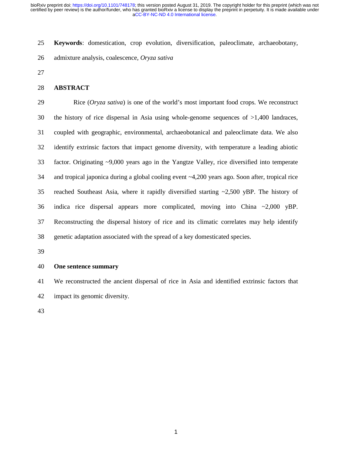25 **Keywords**: domestication, crop evolution, diversification, paleoclimate, archaeobotany,

26 admixture analysis, coalescence, *Oryza sativa* 

27

### 28 **ABSTRACT**

29 Rice (*Oryza sativa*) is one of the world's most important food crops. We reconstruct 30 the history of rice dispersal in Asia using whole-genome sequences of >1,400 landraces, 31 coupled with geographic, environmental, archaeobotanical and paleoclimate data. We also 32 identify extrinsic factors that impact genome diversity, with temperature a leading abiotic 33 factor. Originating ~9,000 years ago in the Yangtze Valley, rice diversified into temperate 34 and tropical japonica during a global cooling event ~4,200 years ago. Soon after, tropical rice 35 reached Southeast Asia, where it rapidly diversified starting ~2,500 yBP. The history of 36 indica rice dispersal appears more complicated, moving into China ~2,000 yBP. 37 Reconstructing the dispersal history of rice and its climatic correlates may help identify 38 genetic adaptation associated with the spread of a key domesticated species.

39

## 40 **One sentence summary**

41 We reconstructed the ancient dispersal of rice in Asia and identified extrinsic factors that 42 impact its genomic diversity.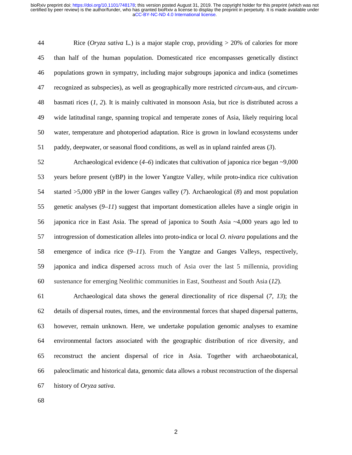44 Rice (*Oryza sativa* L*.*) is a major staple crop, providing > 20% of calories for more 45 than half of the human population. Domesticated rice encompasses genetically distinct 46 populations grown in sympatry, including major subgroups japonica and indica (sometimes 47 recognized as subspecies), as well as geographically more restricted *circum*-aus, and *circum*-48 basmati rices (*1*, *2*). It is mainly cultivated in monsoon Asia, but rice is distributed across a 49 wide latitudinal range, spanning tropical and temperate zones of Asia, likely requiring local 50 water, temperature and photoperiod adaptation. Rice is grown in lowland ecosystems under 51 paddy, deepwater, or seasonal flood conditions, as well as in upland rainfed areas (*3*).

52 Archaeological evidence (*4*–*6*) indicates that cultivation of japonica rice began ~9,000 53 years before present (yBP) in the lower Yangtze Valley, while proto-indica rice cultivation 54 started >5,000 yBP in the lower Ganges valley (*7*). Archaeological (*8*) and most population 55 genetic analyses (*9*–*11*) suggest that important domestication alleles have a single origin in 56 japonica rice in East Asia. The spread of japonica to South Asia ~4,000 years ago led to 57 introgression of domestication alleles into proto-indica or local *O. nivara* populations and the 58 emergence of indica rice (*9*–*11*). From the Yangtze and Ganges Valleys, respectively, 59 japonica and indica dispersed across much of Asia over the last 5 millennia, providing 60 sustenance for emerging Neolithic communities in East, Southeast and South Asia (*12*).

61 Archaeological data shows the general directionality of rice dispersal (*7*, *13*); the 62 details of dispersal routes, times, and the environmental forces that shaped dispersal patterns, 63 however, remain unknown. Here, we undertake population genomic analyses to examine 64 environmental factors associated with the geographic distribution of rice diversity, and 65 reconstruct the ancient dispersal of rice in Asia. Together with archaeobotanical, 66 paleoclimatic and historical data, genomic data allows a robust reconstruction of the dispersal 67 history of *Oryza sativa*.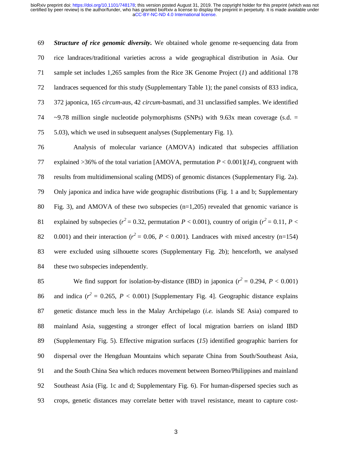69 *Structure of rice genomic diversity.* We obtained whole genome re-sequencing data from 70 rice landraces/traditional varieties across a wide geographical distribution in Asia. Our 71 sample set includes 1,265 samples from the Rice 3K Genome Project (*1*) and additional 178 72 landraces sequenced for this study (Supplementary Table 1); the panel consists of 833 indica, 73 372 japonica, 165 *circum*-aus, 42 *circum*-basmati, and 31 unclassified samples. We identified 74  $\sim$  9.78 million single nucleotide polymorphisms (SNPs) with 9.63x mean coverage (s.d. = 75 5.03), which we used in subsequent analyses (Supplementary Fig. 1).

76 Analysis of molecular variance (AMOVA) indicated that subspecies affiliation 77 explained >36% of the total variation [AMOVA, permutation *P* < 0.001](*14*), congruent with 78 results from multidimensional scaling (MDS) of genomic distances (Supplementary Fig. 2a). 79 Only japonica and indica have wide geographic distributions (Fig. 1 a and b; Supplementary 80 Fig. 3), and AMOVA of these two subspecies  $(n=1,205)$  revealed that genomic variance is 81 explained by subspecies ( $r^2 = 0.32$ , permutation *P* < 0.001), country of origin ( $r^2 = 0.11$ , *P* < 82  $0.001$ ) and their interaction ( $r^2 = 0.06$ ,  $P < 0.001$ ). Landraces with mixed ancestry (n=154) 83 were excluded using silhouette scores (Supplementary Fig. 2b); henceforth, we analysed 84 these two subspecies independently.

We find support for isolation-by-distance (IBD) in japonica  $(r^2 = 0.294, P < 0.001)$ 86 and indica  $(r^2 = 0.265, P < 0.001)$  [Supplementary Fig. 4]. Geographic distance explains 87 genetic distance much less in the Malay Archipelago (*i.e.* islands SE Asia) compared to 88 mainland Asia, suggesting a stronger effect of local migration barriers on island IBD 89 (Supplementary Fig. 5). Effective migration surfaces (*15*) identified geographic barriers for 90 dispersal over the Hengduan Mountains which separate China from South/Southeast Asia, 91 and the South China Sea which reduces movement between Borneo/Philippines and mainland 92 Southeast Asia (Fig. 1c and d; Supplementary Fig. 6). For human-dispersed species such as 93 crops, genetic distances may correlate better with travel resistance, meant to capture cost-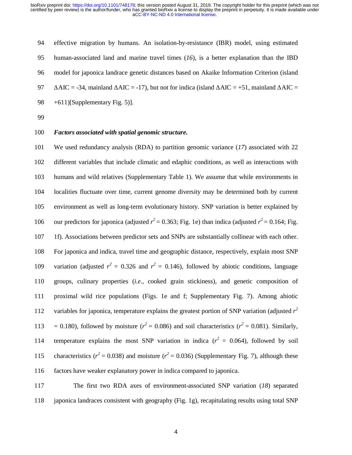| 94 | effective migration by humans. An isolation-by-resistance (IBR) model, using estimated                                     |
|----|----------------------------------------------------------------------------------------------------------------------------|
| 95 | human-associated land and marine travel times $(16)$ , is a better explanation than the IBD                                |
| 96 | model for japonica landrace genetic distances based on Akaike Information Criterion (island                                |
| 97 | $\Delta AIC = -34$ , mainland $\Delta AIC = -17$ , but not for indica (island $\Delta AIC = +51$ , mainland $\Delta AIC =$ |
| 98 | $+611$ [Supplementary Fig. 5)].                                                                                            |

99

# 100 *Factors associated with spatial genomic structure.*

101 We used redundancy analysis (RDA) to partition genomic variance (*17*) associated with 22 102 different variables that include climatic and edaphic conditions, as well as interactions with 103 humans and wild relatives (Supplementary Table 1). We assume that while environments in 104 localities fluctuate over time, current genome diversity may be determined both by current 105 environment as well as long-term evolutionary history. SNP variation is better explained by 106 our predictors for japonica (adjusted  $r^2 = 0.363$ ; Fig. 1e) than indica (adjusted  $r^2 = 0.164$ ; Fig. 107 1f). Associations between predictor sets and SNPs are substantially collinear with each other. 108 For japonica and indica, travel time and geographic distance, respectively, explain most SNP 109 variation (adjusted  $r^2 = 0.326$  and  $r^2 = 0.146$ ), followed by abiotic conditions, language 110 groups, culinary properties (*i.e*., cooked grain stickiness), and genetic composition of 111 proximal wild rice populations (Figs. 1e and f; Supplementary Fig. 7). Among abiotic 112 variables for japonica, temperature explains the greatest portion of SNP variation (adjusted  $r^2$ 113 = 0.180), followed by moisture ( $r^2 = 0.086$ ) and soil characteristics ( $r^2 = 0.081$ ). Similarly, 114 temperature explains the most SNP variation in indica  $(r^2 = 0.064)$ , followed by soil 115 characteristics ( $r^2 = 0.038$ ) and moisture ( $r^2 = 0.036$ ) (Supplementary Fig. 7), although these 116 factors have weaker explanatory power in indica compared to japonica.

117 The first two RDA axes of environment-associated SNP variation (*18*) separated 118 japonica landraces consistent with geography (Fig. 1g), recapitulating results using total SNP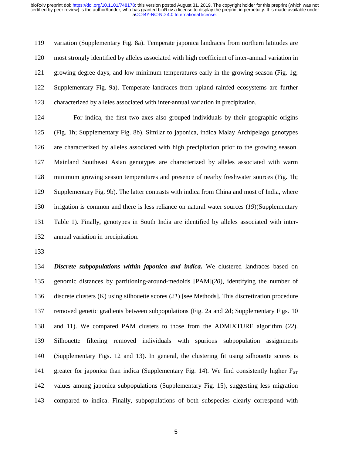119 variation (Supplementary Fig. 8a). Temperate japonica landraces from northern latitudes are 120 most strongly identified by alleles associated with high coefficient of inter-annual variation in 121 growing degree days, and low minimum temperatures early in the growing season (Fig. 1g; 122 Supplementary Fig. 9a). Temperate landraces from upland rainfed ecosystems are further 123 characterized by alleles associated with inter-annual variation in precipitation.

124 For indica, the first two axes also grouped individuals by their geographic origins 125 (Fig. 1h; Supplementary Fig. 8b). Similar to japonica, indica Malay Archipelago genotypes 126 are characterized by alleles associated with high precipitation prior to the growing season. 127 Mainland Southeast Asian genotypes are characterized by alleles associated with warm 128 minimum growing season temperatures and presence of nearby freshwater sources (Fig. 1h; 129 Supplementary Fig. 9b). The latter contrasts with indica from China and most of India, where 130 irrigation is common and there is less reliance on natural water sources (*19*)(Supplementary 131 Table 1). Finally, genotypes in South India are identified by alleles associated with inter-132 annual variation in precipitation.

133

134 *Discrete subpopulations within japonica and indica***.** We clustered landraces based on 135 genomic distances by partitioning-around-medoids [PAM](*20*), identifying the number of 136 discrete clusters (K) using silhouette scores (*21*) [see Methods]. This discretization procedure 137 removed genetic gradients between subpopulations (Fig. 2a and 2d; Supplementary Figs. 10 138 and 11). We compared PAM clusters to those from the ADMIXTURE algorithm (*22*). 139 Silhouette filtering removed individuals with spurious subpopulation assignments 140 (Supplementary Figs. 12 and 13). In general, the clustering fit using silhouette scores is 141 greater for japonica than indica (Supplementary Fig. 14). We find consistently higher  $F_{ST}$ 142 values among japonica subpopulations (Supplementary Fig. 15), suggesting less migration 143 compared to indica. Finally, subpopulations of both subspecies clearly correspond with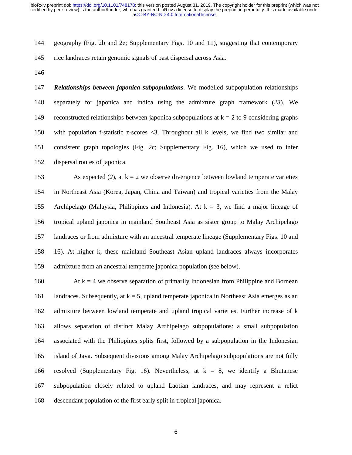144 geography (Fig. 2b and 2e; Supplementary Figs. 10 and 11), suggesting that contemporary

- 145 rice landraces retain genomic signals of past dispersal across Asia.
- 146

147 *Relationships between japonica subpopulations*. We modelled subpopulation relationships 148 separately for japonica and indica using the admixture graph framework (*23*). We 149 reconstructed relationships between japonica subpopulations at  $k = 2$  to 9 considering graphs 150 with population f-statistic z-scores <3. Throughout all k levels, we find two similar and 151 consistent graph topologies (Fig. 2c; Supplementary Fig. 16), which we used to infer 152 dispersal routes of japonica.

153 As expected (2), at  $k = 2$  we observe divergence between lowland temperate varieties 154 in Northeast Asia (Korea, Japan, China and Taiwan) and tropical varieties from the Malay 155 Archipelago (Malaysia, Philippines and Indonesia). At  $k = 3$ , we find a major lineage of 156 tropical upland japonica in mainland Southeast Asia as sister group to Malay Archipelago 157 landraces or from admixture with an ancestral temperate lineage (Supplementary Figs. 10 and 158 16). At higher k, these mainland Southeast Asian upland landraces always incorporates 159 admixture from an ancestral temperate japonica population (see below).

160 At  $k = 4$  we observe separation of primarily Indonesian from Philippine and Bornean 161 landraces. Subsequently, at  $k = 5$ , upland temperate japonica in Northeast Asia emerges as an 162 admixture between lowland temperate and upland tropical varieties. Further increase of k 163 allows separation of distinct Malay Archipelago subpopulations: a small subpopulation 164 associated with the Philippines splits first, followed by a subpopulation in the Indonesian 165 island of Java. Subsequent divisions among Malay Archipelago subpopulations are not fully 166 resolved (Supplementary Fig. 16). Nevertheless, at k = 8, we identify a Bhutanese 167 subpopulation closely related to upland Laotian landraces, and may represent a relict 168 descendant population of the first early split in tropical japonica.

 $\sim$  6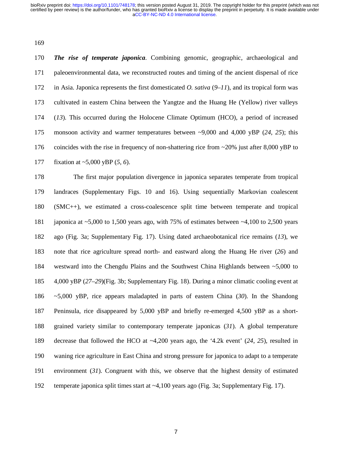169

170 *The rise of temperate japonica*. Combining genomic, geographic, archaeological and 171 paleoenvironmental data, we reconstructed routes and timing of the ancient dispersal of rice 172 in Asia. Japonica represents the first domesticated *O. sativa* (*9*–*11*), and its tropical form was 173 cultivated in eastern China between the Yangtze and the Huang He (Yellow) river valleys 174 (*13*). This occurred during the Holocene Climate Optimum (HCO), a period of increased 175 monsoon activity and warmer temperatures between ~9,000 and 4,000 yBP (*24*, *25*); this 176 coincides with the rise in frequency of non-shattering rice from ~20% just after 8,000 yBP to 177 fixation at ~5,000 yBP (*5*, *6*).

178 The first major population divergence in japonica separates temperate from tropical 179 landraces (Supplementary Figs. 10 and 16). Using sequentially Markovian coalescent 180 (SMC++), we estimated a cross-coalescence split time between temperate and tropical 181 japonica at ~5,000 to 1,500 years ago, with 75% of estimates between ~4,100 to 2,500 years 182 ago (Fig. 3a; Supplementary Fig. 17). Using dated archaeobotanical rice remains (*13*), we 183 note that rice agriculture spread north- and eastward along the Huang He river (*26*) and 184 westward into the Chengdu Plains and the Southwest China Highlands between ~5,000 to 185 4,000 yBP (*27*–*29*)(Fig. 3b; Supplementary Fig. 18). During a minor climatic cooling event at 186 ~5,000 yBP, rice appears maladapted in parts of eastern China (*30*). In the Shandong 187 Peninsula, rice disappeared by 5,000 yBP and briefly re-emerged 4,500 yBP as a short-188 grained variety similar to contemporary temperate japonicas (*31*). A global temperature 189 decrease that followed the HCO at ~4,200 years ago, the '4.2k event' (*24*, *25*), resulted in 190 waning rice agriculture in East China and strong pressure for japonica to adapt to a temperate 191 environment (*31*). Congruent with this, we observe that the highest density of estimated 192 temperate japonica split times start at ~4,100 years ago (Fig. 3a; Supplementary Fig. 17).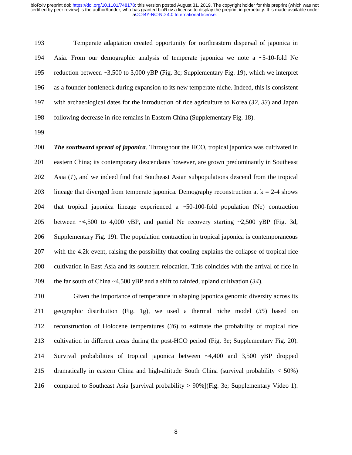193 Temperate adaptation created opportunity for northeastern dispersal of japonica in 194 Asia. From our demographic analysis of temperate japonica we note a ~5-10-fold Ne 195 reduction between ~3,500 to 3,000 yBP (Fig. 3c; Supplementary Fig. 19), which we interpret 196 as a founder bottleneck during expansion to its new temperate niche. Indeed, this is consistent 197 with archaeological dates for the introduction of rice agriculture to Korea (*32*, *33*) and Japan 198 following decrease in rice remains in Eastern China (Supplementary Fig. 18).

199

200 *The southward spread of japonica*. Throughout the HCO, tropical japonica was cultivated in 201 eastern China; its contemporary descendants however, are grown predominantly in Southeast 202 Asia (*1*), and we indeed find that Southeast Asian subpopulations descend from the tropical 203 lineage that diverged from temperate japonica. Demography reconstruction at  $k = 2-4$  shows 204 that tropical japonica lineage experienced a ~50-100-fold population (Ne) contraction 205 between ~4,500 to 4,000 yBP, and partial Ne recovery starting ~2,500 yBP (Fig. 3d, 206 Supplementary Fig. 19). The population contraction in tropical japonica is contemporaneous 207 with the 4.2k event, raising the possibility that cooling explains the collapse of tropical rice 208 cultivation in East Asia and its southern relocation. This coincides with the arrival of rice in 209 the far south of China ~4,500 yBP and a shift to rainfed, upland cultivation (*34*).

210 Given the importance of temperature in shaping japonica genomic diversity across its 211 geographic distribution (Fig. 1g), we used a thermal niche model (*35*) based on 212 reconstruction of Holocene temperatures (*36*) to estimate the probability of tropical rice 213 cultivation in different areas during the post-HCO period (Fig. 3e; Supplementary Fig. 20). 214 Survival probabilities of tropical japonica between ~4,400 and 3,500 yBP dropped 215 dramatically in eastern China and high-altitude South China (survival probability < 50%) 216 compared to Southeast Asia [survival probability > 90%](Fig. 3e; Supplementary Video 1).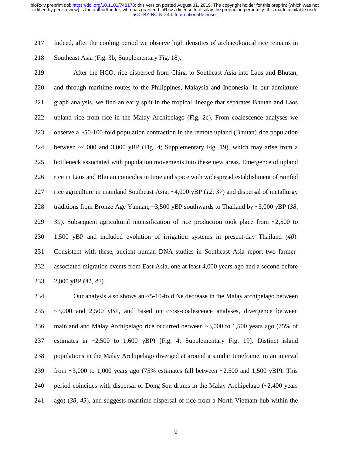217 Indeed, after the cooling period we observe high densities of archaeological rice remains in

218 Southeast Asia (Fig. 3b; Supplementary Fig. 18).

219 After the HCO, rice dispersed from China to Southeast Asia into Laos and Bhutan, 220 and through maritime routes to the Philippines, Malaysia and Indonesia. In our admixture 221 graph analysis, we find an early split in the tropical lineage that separates Bhutan and Laos 222 upland rice from rice in the Malay Archipelago (Fig. 2c). From coalescence analyses we 223 observe a ~50-100-fold population contraction in the remote upland (Bhutan) rice population 224 between ~4,000 and 3,000 yBP (Fig. 4; Supplementary Fig. 19), which may arise from a 225 bottleneck associated with population movements into these new areas. Emergence of upland 226 rice in Laos and Bhutan coincides in time and space with widespread establishment of rainfed 227 rice agriculture in mainland Southeast Asia, ~4,000 yBP (*12*, *37*) and dispersal of metallurgy 228 traditions from Bronze Age Yunnan, ~3,500 yBP southwards to Thailand by ~3,000 yBP (*38*, 229 *39*). Subsequent agricultural intensification of rice production took place from ~2,500 to 230 1,500 yBP and included evolution of irrigation systems in present-day Thailand (*40*). 231 Consistent with these, ancient human DNA studies in Southeast Asia report two farmer-232 associated migration events from East Asia, one at least 4,000 years ago and a second before 233 2,000 yBP (*41*, *42*).

234 Our analysis also shows an ~5-10-fold Ne decrease in the Malay archipelago between 235 ~3,000 and 2,500 yBP, and based on cross-coalescence analyses, divergence between 236 mainland and Malay Archipelago rice occurred between ~3,000 to 1,500 years ago (75% of 237 estimates in ~2,500 to 1,600 yBP) [Fig. 4; Supplementary Fig. 19]. Distinct island 238 populations in the Malay Archipelago diverged at around a similar timeframe, in an interval 239 from ~3,000 to 1,000 years ago (75% estimates fall between ~2,500 and 1,500 yBP). This 240 period coincides with dispersal of Dong Son drums in the Malay Archipelago  $\left(\sim 2,400\right)$  years 241 ago) (*38*, *43*), and suggests maritime dispersal of rice from a North Vietnam hub within the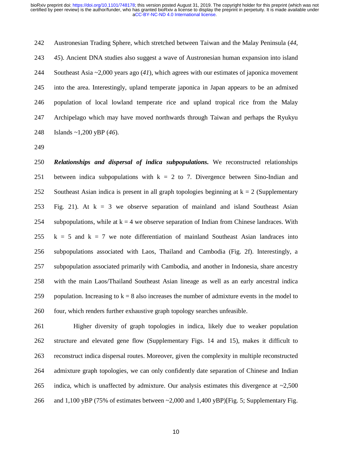242 Austronesian Trading Sphere, which stretched between Taiwan and the Malay Peninsula (*44*, 243 *45*). Ancient DNA studies also suggest a wave of Austronesian human expansion into island 244 Southeast Asia ~2,000 years ago (*41*), which agrees with our estimates of japonica movement 245 into the area. Interestingly, upland temperate japonica in Japan appears to be an admixed 246 population of local lowland temperate rice and upland tropical rice from the Malay 247 Archipelago which may have moved northwards through Taiwan and perhaps the Ryukyu 248 Islands ~1,200 yBP (*46*).

249

250 *Relationships and dispersal of indica subpopulations.* We reconstructed relationships 251 between indica subpopulations with  $k = 2$  to 7. Divergence between Sino-Indian and 252 Southeast Asian indica is present in all graph topologies beginning at  $k = 2$  (Supplementary 253 Fig. 21). At  $k = 3$  we observe separation of mainland and island Southeast Asian 254 subpopulations, while at  $k = 4$  we observe separation of Indian from Chinese landraces. With 255  $k = 5$  and  $k = 7$  we note differentiation of mainland Southeast Asian landraces into 256 subpopulations associated with Laos, Thailand and Cambodia (Fig. 2f). Interestingly, a 257 subpopulation associated primarily with Cambodia, and another in Indonesia, share ancestry 258 with the main Laos/Thailand Southeast Asian lineage as well as an early ancestral indica 259 population. Increasing to  $k = 8$  also increases the number of admixture events in the model to 260 four, which renders further exhaustive graph topology searches unfeasible.

261 Higher diversity of graph topologies in indica, likely due to weaker population 262 structure and elevated gene flow (Supplementary Figs. 14 and 15), makes it difficult to 263 reconstruct indica dispersal routes. Moreover, given the complexity in multiple reconstructed 264 admixture graph topologies, we can only confidently date separation of Chinese and Indian 265 indica, which is unaffected by admixture. Our analysis estimates this divergence at  $\sim 2,500$ 266 and 1,100 yBP (75% of estimates between ~2,000 and 1,400 yBP)[Fig. 5; Supplementary Fig.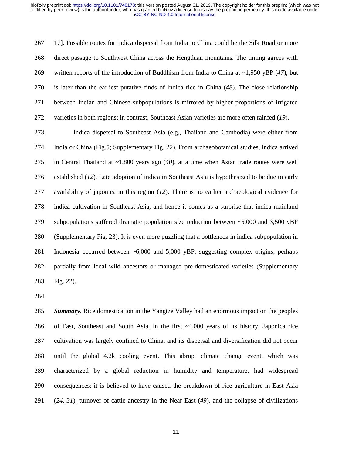267 17]. Possible routes for indica dispersal from India to China could be the Silk Road or more 268 direct passage to Southwest China across the Hengduan mountains. The timing agrees with 269 written reports of the introduction of Buddhism from India to China at ~1,950 yBP (*47*), but 270 is later than the earliest putative finds of indica rice in China (*48*). The close relationship 271 between Indian and Chinese subpopulations is mirrored by higher proportions of irrigated 272 varieties in both regions; in contrast, Southeast Asian varieties are more often rainfed (*19*).

273 Indica dispersal to Southeast Asia (e.g., Thailand and Cambodia) were either from 274 India or China (Fig.5; Supplementary Fig. 22). From archaeobotanical studies, indica arrived 275 in Central Thailand at ~1,800 years ago (*40*), at a time when Asian trade routes were well 276 established (*12*). Late adoption of indica in Southeast Asia is hypothesized to be due to early 277 availability of japonica in this region (*12*). There is no earlier archaeological evidence for 278 indica cultivation in Southeast Asia, and hence it comes as a surprise that indica mainland 279 subpopulations suffered dramatic population size reduction between ~5,000 and 3,500 yBP 280 (Supplementary Fig. 23). It is even more puzzling that a bottleneck in indica subpopulation in 281 Indonesia occurred between ~6,000 and 5,000 yBP, suggesting complex origins, perhaps 282 partially from local wild ancestors or managed pre-domesticated varieties (Supplementary 283 Fig. 22).

284

285 *Summary*. Rice domestication in the Yangtze Valley had an enormous impact on the peoples 286 of East, Southeast and South Asia. In the first ~4,000 years of its history, Japonica rice 287 cultivation was largely confined to China, and its dispersal and diversification did not occur 288 until the global 4.2k cooling event. This abrupt climate change event, which was 289 characterized by a global reduction in humidity and temperature, had widespread 290 consequences: it is believed to have caused the breakdown of rice agriculture in East Asia 291 (*24*, *31*), turnover of cattle ancestry in the Near East (*49*), and the collapse of civilizations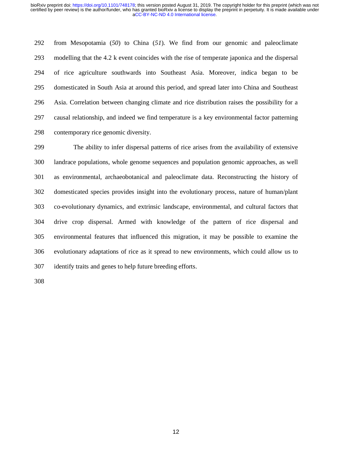292 from Mesopotamia (*50*) to China (*51*). We find from our genomic and paleoclimate 293 modelling that the 4.2 k event coincides with the rise of temperate japonica and the dispersal 294 of rice agriculture southwards into Southeast Asia. Moreover, indica began to be 295 domesticated in South Asia at around this period, and spread later into China and Southeast 296 Asia. Correlation between changing climate and rice distribution raises the possibility for a 297 causal relationship, and indeed we find temperature is a key environmental factor patterning 298 contemporary rice genomic diversity.

299 The ability to infer dispersal patterns of rice arises from the availability of extensive 300 landrace populations, whole genome sequences and population genomic approaches, as well 301 as environmental, archaeobotanical and paleoclimate data. Reconstructing the history of 302 domesticated species provides insight into the evolutionary process, nature of human/plant 303 co-evolutionary dynamics, and extrinsic landscape, environmental, and cultural factors that 304 drive crop dispersal. Armed with knowledge of the pattern of rice dispersal and 305 environmental features that influenced this migration, it may be possible to examine the 306 evolutionary adaptations of rice as it spread to new environments, which could allow us to 307 identify traits and genes to help future breeding efforts.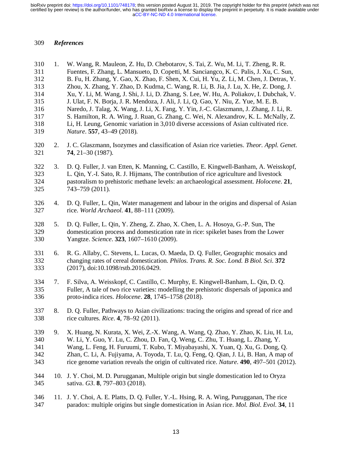#### 309 *References*

310 1. W. Wang, R. Mauleon, Z. Hu, D. Chebotarov, S. Tai, Z. Wu, M. Li, T. Zheng, R. R. 311 Fuentes, F. Zhang, L. Mansueto, D. Copetti, M. Sanciangco, K. C. Palis, J. Xu, C. Sun, 312 B. Fu, H. Zhang, Y. Gao, X. Zhao, F. Shen, X. Cui, H. Yu, Z. Li, M. Chen, J. Detras, Y. 313 Zhou, X. Zhang, Y. Zhao, D. Kudrna, C. Wang, R. Li, B. Jia, J. Lu, X. He, Z. Dong, J. 314 Xu, Y. Li, M. Wang, J. Shi, J. Li, D. Zhang, S. Lee, W. Hu, A. Poliakov, I. Dubchak, V.<br>315 J. Ulat, F. N. Borja, J. R. Mendoza, J. Ali, J. Li, O. Gao, Y. Niu, Z. Yue, M. E. B. 315 J. Ulat, F. N. Borja, J. R. Mendoza, J. Ali, J. Li, Q. Gao, Y. Niu, Z. Yue, M. E. B. 316 Naredo, J. Talag, X. Wang, J. Li, X. Fang, Y. Yin, J.-C. Glaszmann, J. Zhang, J. Li, R. 317 S. Hamilton, R. A. Wing, J. Ruan, G. Zhang, C. Wei, N. Alexandrov, K. L. McNally, Z. 318 Li, H. Leung, Genomic variation in 3,010 diverse accessions of Asian cultivated rice. 319 *Nature*. **557**, 43–49 (2018). 320 2. J. C. Glaszmann, Isozymes and classification of Asian rice varieties. *Theor. Appl. Genet.* 321 **74**, 21–30 (1987). 322 3. D. Q. Fuller, J. van Etten, K. Manning, C. Castillo, E. Kingwell-Banham, A. Weisskopf, 323 L. Qin, Y.-I. Sato, R. J. Hijmans, The contribution of rice agriculture and livestock 324 pastoralism to prehistoric methane levels: an archaeological assessment. *Holocene*. **21**, 325 743–759 (2011). 326 4. D. Q. Fuller, L. Qin, Water management and labour in the origins and dispersal of Asian 327 rice. *World Archaeol.* **41**, 88–111 (2009). 328 5. D. Q. Fuller, L. Qin, Y. Zheng, Z. Zhao, X. Chen, L. A. Hosoya, G.-P. Sun, The 329 domestication process and domestication rate in rice: spikelet bases from the Lower 330 Yangtze. *Science*. **323**, 1607–1610 (2009). 331 6. R. G. Allaby, C. Stevens, L. Lucas, O. Maeda, D. Q. Fuller, Geographic mosaics and 332 changing rates of cereal domestication. *Philos. Trans. R. Soc. Lond. B Biol. Sci.* **372** 333 (2017), doi:10.1098/rstb.2016.0429. 334 7. F. Silva, A. Weisskopf, C. Castillo, C. Murphy, E. Kingwell-Banham, L. Qin, D. Q. 335 Fuller, A tale of two rice varieties: modelling the prehistoric dispersals of japonica and 336 proto-indica rices. *Holocene*. **28**, 1745–1758 (2018). 337 8. D. Q. Fuller, Pathways to Asian civilizations: tracing the origins and spread of rice and 338 rice cultures. *Rice*. **4**, 78–92 (2011). 339 9. X. Huang, N. Kurata, X. Wei, Z.-X. Wang, A. Wang, Q. Zhao, Y. Zhao, K. Liu, H. Lu, 340 W. Li, Y. Guo, Y. Lu, C. Zhou, D. Fan, Q. Weng, C. Zhu, T. Huang, L. Zhang, Y. 341 Wang, L. Feng, H. Furuumi, T. Kubo, T. Miyabayashi, X. Yuan, Q. Xu, G. Dong, Q. 342 Zhan, C. Li, A. Fujiyama, A. Toyoda, T. Lu, Q. Feng, Q. Qian, J. Li, B. Han, A map of 343 rice genome variation reveals the origin of cultivated rice. *Nature*. **490**, 497–501 (2012). 344 10. J. Y. Choi, M. D. Purugganan, Multiple origin but single domestication led to Oryza 345 sativa. *G3*. **8**, 797–803 (2018). 346 11. J. Y. Choi, A. E. Platts, D. Q. Fuller, Y.-L. Hsing, R. A. Wing, Purugganan, The rice 347 paradox: multiple origins but single domestication in Asian rice. *Mol. Biol. Evol.* **34**, 11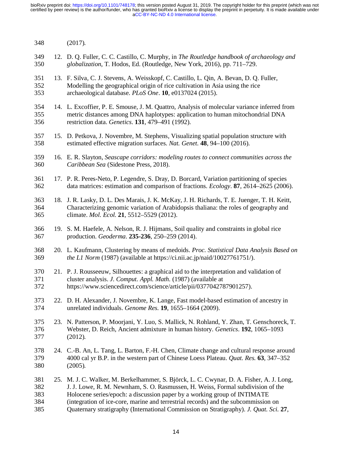- 348 (2017).
- 349 12. D. Q. Fuller, C. C. Castillo, C. Murphy, in *The Routledge handbook of archaeology and*  350 *globalization*, T. Hodos, Ed. (Routledge, New York, 2016), pp. 711–729.
- 351 13. F. Silva, C. J. Stevens, A. Weisskopf, C. Castillo, L. Qin, A. Bevan, D. Q. Fuller, 352 Modelling the geographical origin of rice cultivation in Asia using the rice 353 archaeological database. *PLoS One*. **10**, e0137024 (2015).
- 354 14. L. Excoffier, P. E. Smouse, J. M. Quattro, Analysis of molecular variance inferred from 355 metric distances among DNA haplotypes: application to human mitochondrial DNA 356 restriction data. *Genetics*. **131**, 479–491 (1992).
- 357 15. D. Petkova, J. Novembre, M. Stephens, Visualizing spatial population structure with 358 estimated effective migration surfaces. *Nat. Genet.* **48**, 94–100 (2016).
- 359 16. E. R. Slayton, *Seascape corridors: modeling routes to connect communities across the*  360 *Caribbean Sea* (Sidestone Press, 2018).
- 361 17. P. R. Peres-Neto, P. Legendre, S. Dray, D. Borcard, Variation partitioning of species 362 data matrices: estimation and comparison of fractions. *Ecology*. **87**, 2614–2625 (2006).
- 363 18. J. R. Lasky, D. L. Des Marais, J. K. McKay, J. H. Richards, T. E. Juenger, T. H. Keitt, 364 Characterizing genomic variation of Arabidopsis thaliana: the roles of geography and 365 climate. *Mol. Ecol.* **21**, 5512–5529 (2012).
- 366 19. S. M. Haefele, A. Nelson, R. J. Hijmans, Soil quality and constraints in global rice 367 production. *Geoderma*. **235-236**, 250–259 (2014).
- 368 20. L. Kaufmann, Clustering by means of medoids. *Proc. Statistical Data Analysis Based on*  369 *the L1 Norm* (1987) (available at https://ci.nii.ac.jp/naid/10027761751/).
- 370 21. P. J. Rousseeuw, Silhouettes: a graphical aid to the interpretation and validation of 371 cluster analysis. *J. Comput. Appl. Math.* (1987) (available at 372 https://www.sciencedirect.com/science/article/pii/0377042787901257).
- 373 22. D. H. Alexander, J. Novembre, K. Lange, Fast model-based estimation of ancestry in 374 unrelated individuals. *Genome Res.* **19**, 1655–1664 (2009).
- 375 23. N. Patterson, P. Moorjani, Y. Luo, S. Mallick, N. Rohland, Y. Zhan, T. Genschoreck, T. 376 Webster, D. Reich, Ancient admixture in human history. *Genetics*. **192**, 1065–1093 377 (2012).
- 378 24. C.-B. An, L. Tang, L. Barton, F.-H. Chen, Climate change and cultural response around 379 4000 cal yr B.P. in the western part of Chinese Loess Plateau. *Quat. Res.* **63**, 347–352 380 (2005).
- 381 25. M. J. C. Walker, M. Berkelhammer, S. Björck, L. C. Cwynar, D. A. Fisher, A. J. Long, 382 J. J. Lowe, R. M. Newnham, S. O. Rasmussen, H. Weiss, Formal subdivision of the 383 Holocene series/epoch: a discussion paper by a working group of INTIMATE 384 (integration of ice-core, marine and terrestrial records) and the subcommission on 385 Quaternary stratigraphy (International Commission on Stratigraphy). *J. Quat. Sci.* **27**,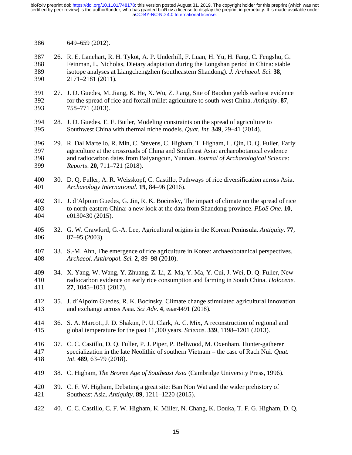- 386 649–659 (2012).
- 387 26. R. E. Lanehart, R. H. Tykot, A. P. Underhill, F. Luan, H. Yu, H. Fang, C. Fengshu, G. 388 Feinman, L. Nicholas, Dietary adaptation during the Longshan period in China: stable 389 isotope analyses at Liangchengzhen (southeastern Shandong). *J. Archaeol. Sci.* **38**, 390 2171–2181 (2011).
- 391 27. J. D. Guedes, M. Jiang, K. He, X. Wu, Z. Jiang, Site of Baodun yields earliest evidence 392 for the spread of rice and foxtail millet agriculture to south-west China. *Antiquity*. **87**, 393 758–771 (2013).
- 394 28. J. D. Guedes, E. E. Butler, Modeling constraints on the spread of agriculture to 395 Southwest China with thermal niche models. *Quat. Int.* **349**, 29–41 (2014).
- 396 29. R. Dal Martello, R. Min, C. Stevens, C. Higham, T. Higham, L. Qin, D. Q. Fuller, Early 397 agriculture at the crossroads of China and Southeast Asia: archaeobotanical evidence 398 and radiocarbon dates from Baiyangcun, Yunnan. *Journal of Archaeological Science:*  399 *Reports*. **20**, 711–721 (2018).
- 400 30. D. Q. Fuller, A. R. Weisskopf, C. Castillo, Pathways of rice diversification across Asia. 401 *Archaeology International*. **19**, 84–96 (2016).
- 402 31. J. d'Alpoim Guedes, G. Jin, R. K. Bocinsky, The impact of climate on the spread of rice 403 to north-eastern China: a new look at the data from Shandong province. *PLoS One*. **10**, 404 e0130430 (2015).
- 405 32. G. W. Crawford, G.-A. Lee, Agricultural origins in the Korean Peninsula. *Antiquity*. **77**, 406 87–95 (2003).
- 407 33. S.-M. Ahn, The emergence of rice agriculture in Korea: archaeobotanical perspectives. 408 *Archaeol. Anthropol. Sci.* **2**, 89–98 (2010).
- 409 34. X. Yang, W. Wang, Y. Zhuang, Z. Li, Z. Ma, Y. Ma, Y. Cui, J. Wei, D. Q. Fuller, New 410 radiocarbon evidence on early rice consumption and farming in South China. *Holocene*. 411 **27**, 1045–1051 (2017).
- 412 35. J. d'Alpoim Guedes, R. K. Bocinsky, Climate change stimulated agricultural innovation 413 and exchange across Asia. *Sci Adv*. **4**, eaar4491 (2018).
- 414 36. S. A. Marcott, J. D. Shakun, P. U. Clark, A. C. Mix, A reconstruction of regional and 415 global temperature for the past 11,300 years. *Science*. **339**, 1198–1201 (2013).
- 416 37. C. C. Castillo, D. Q. Fuller, P. J. Piper, P. Bellwood, M. Oxenham, Hunter-gatherer<br>417 specialization in the late Neolithic of southern Vietnam the case of Rach Nui. *Oua* 417 specialization in the late Neolithic of southern Vietnam – the case of Rach Nui. *Quat.*  418 *Int.* **489**, 63–79 (2018).
- 419 38. C. Higham, *The Bronze Age of Southeast Asia* (Cambridge University Press, 1996).
- 420 39. C. F. W. Higham, Debating a great site: Ban Non Wat and the wider prehistory of 421 Southeast Asia. *Antiquity*. **89**, 1211–1220 (2015).
- 422 40. C. C. Castillo, C. F. W. Higham, K. Miller, N. Chang, K. Douka, T. F. G. Higham, D. Q.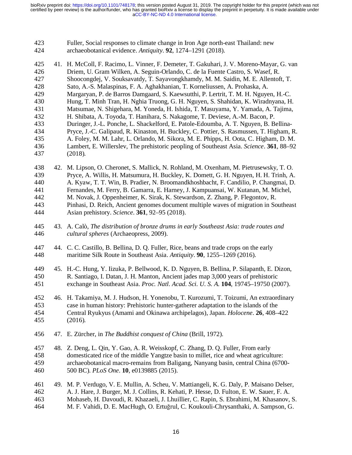| 423 | Fuller, Social responses to climate change in Iron Age north-east Thailand: new |
|-----|---------------------------------------------------------------------------------|
| 424 | archaeobotanical evidence. Antiquity. 92, 1274–1291 (2018).                     |

| 425 | 41. H. McColl, F. Racimo, L. Vinner, F. Demeter, T. Gakuhari, J. V. Moreno-Mayar, G. van       |
|-----|------------------------------------------------------------------------------------------------|
| 426 | Driem, U. Gram Wilken, A. Seguin-Orlando, C. de la Fuente Castro, S. Wasef, R.                 |
| 427 | Shoocongdej, V. Souksavatdy, T. Sayavongkhamdy, M. M. Saidin, M. E. Allentoft, T.              |
| 428 | Sato, A.-S. Malaspinas, F. A. Aghakhanian, T. Korneliussen, A. Prohaska, A.                    |
| 429 | Margaryan, P. de Barros Damgaard, S. Kaewsutthi, P. Lertrit, T. M. H. Nguyen, H.-C.            |
| 430 | Hung, T. Minh Tran, H. Nghia Truong, G. H. Nguyen, S. Shahidan, K. Wiradnyana, H.              |
| 431 | Matsumae, N. Shigehara, M. Yoneda, H. Ishida, T. Masuyama, Y. Yamada, A. Tajima,               |
| 432 | H. Shibata, A. Toyoda, T. Hanihara, S. Nakagome, T. Deviese, A.-M. Bacon, P.                   |
| 433 | Duringer, J.-L. Ponche, L. Shackelford, E. Patole-Edoumba, A. T. Nguyen, B. Bellina-           |
| 434 | Pryce, J.-C. Galipaud, R. Kinaston, H. Buckley, C. Pottier, S. Rasmussen, T. Higham, R.        |
| 435 | A. Foley, M. M. Lahr, L. Orlando, M. Sikora, M. E. Phipps, H. Oota, C. Higham, D. M.           |
| 436 | Lambert, E. Willerslev, The prehistoric peopling of Southeast Asia. Science. 361, 88–92        |
| 437 | (2018).                                                                                        |
| 438 | 42. M. Lipson, O. Cheronet, S. Mallick, N. Rohland, M. Oxenham, M. Pietrusewsky, T. O.         |
| 439 | Pryce, A. Willis, H. Matsumura, H. Buckley, K. Domett, G. H. Nguyen, H. H. Trinh, A.           |
| 440 | A. Kyaw, T. T. Win, B. Pradier, N. Broomandkhoshbacht, F. Candilio, P. Changmai, D.            |
| 441 | Fernandes, M. Ferry, B. Gamarra, E. Harney, J. Kampuansai, W. Kutanan, M. Michel,              |
| 442 | M. Novak, J. Oppenheimer, K. Sirak, K. Stewardson, Z. Zhang, P. Flegontov, R.                  |
| 443 | Pinhasi, D. Reich, Ancient genomes document multiple waves of migration in Southeast           |
| 444 | Asian prehistory. Science. 361, 92-95 (2018).                                                  |
| 445 | 43. A. Calò, The distribution of bronze drums in early Southeast Asia: trade routes and        |
| 446 | cultural spheres (Archaeopress, 2009).                                                         |
| 447 | 44. C. C. Castillo, B. Bellina, D. Q. Fuller, Rice, beans and trade crops on the early         |
| 448 | maritime Silk Route in Southeast Asia. Antiquity. 90, 1255–1269 (2016).                        |
| 449 | 45. H.-C. Hung, Y. Iizuka, P. Bellwood, K. D. Nguyen, B. Bellina, P. Silapanth, E. Dizon,      |
| 450 | R. Santiago, I. Datan, J. H. Manton, Ancient jades map 3,000 years of prehistoric              |
| 451 | exchange in Southeast Asia. Proc. Natl. Acad. Sci. U. S. A. 104, 19745–19750 (2007).           |
| 452 | 46. H. Takamiya, M. J. Hudson, H. Yonenobu, T. Kurozumi, T. Toizumi, An extraordinary          |
| 453 | case in human history: Prehistoric hunter-gatherer adaptation to the islands of the            |
| 454 | Central Ryukyus (Amami and Okinawa archipelagos), Japan. <i>Holocene</i> . <b>26</b> , 408–422 |
| 455 | (2016).                                                                                        |
| 456 | 47. E. Zürcher, in The Buddhist conquest of China (Brill, 1972).                               |
| 457 | 48. Z. Deng, L. Qin, Y. Gao, A. R. Weisskopf, C. Zhang, D. Q. Fuller, From early               |
| 458 | domesticated rice of the middle Yangtze basin to millet, rice and wheat agriculture:           |
| 459 | archaeobotanical macro-remains from Baligang, Nanyang basin, central China (6700-              |
| 460 | 500 BC). PLoS One. 10, e0139885 (2015).                                                        |
| 461 | 49. M. P. Verdugo, V. E. Mullin, A. Scheu, V. Mattiangeli, K. G. Daly, P. Maisano Delser,      |
| 462 | A. J. Hare, J. Burger, M. J. Collins, R. Kehati, P. Hesse, D. Fulton, E. W. Sauer, F. A.       |
| 463 | Mohaseb, H. Davoudi, R. Khazaeli, J. Lhuillier, C. Rapin, S. Ebrahimi, M. Khasanov, S.         |
| 464 | M. F. Vahidi, D. E. MacHugh, O. Ertuğrul, C. Koukouli-Chrysanthaki, A. Sampson, G.             |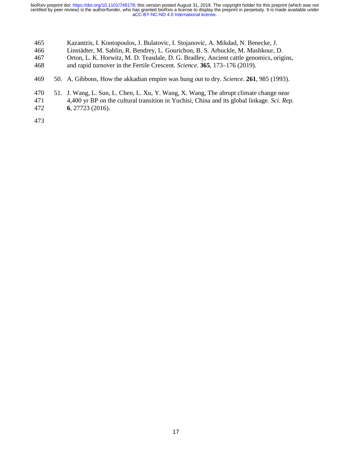- 465 Kazantzis, I. Kontopoulos, J. Bulatovic, I. Stojanović, A. Mikdad, N. Benecke, J.
- 466 Linstädter, M. Sablin, R. Bendrey, L. Gourichon, B. S. Arbuckle, M. Mashkour, D.
- 467 Orton, L. K. Horwitz, M. D. Teasdale, D. G. Bradley, Ancient cattle genomics, origins,
- 468 and rapid turnover in the Fertile Crescent. *Science*. **365**, 173–176 (2019).
- 469 50. A. Gibbons, How the akkadian empire was hung out to dry. *Science*. **261**, 985 (1993).
- 470 51. J. Wang, L. Sun, L. Chen, L. Xu, Y. Wang, X. Wang, The abrupt climate change near 471 4,400 yr BP on the cultural transition in Yuchisi, China and its global linkage. *Sci. Rep.* 472 **6**, 27723 (2016).
- 473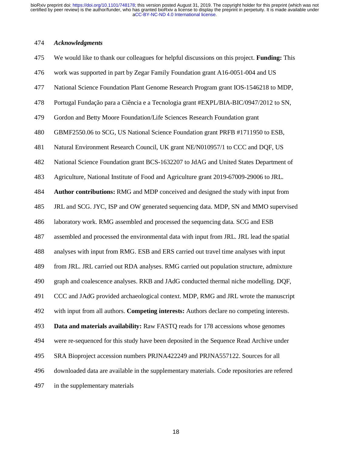# 474 *Acknowledgments*

| 475 | We would like to thank our colleagues for helpful discussions on this project. Funding: This |
|-----|----------------------------------------------------------------------------------------------|
| 476 | work was supported in part by Zegar Family Foundation grant A16-0051-004 and US              |
| 477 | National Science Foundation Plant Genome Research Program grant IOS-1546218 to MDP,          |
| 478 | Portugal Fundação para a Ciência e a Tecnologia grant #EXPL/BIA-BIC/0947/2012 to SN,         |
| 479 | Gordon and Betty Moore Foundation/Life Sciences Research Foundation grant                    |
| 480 | GBMF2550.06 to SCG, US National Science Foundation grant PRFB #1711950 to ESB,               |
| 481 | Natural Environment Research Council, UK grant NE/N010957/1 to CCC and DQF, US               |
| 482 | National Science Foundation grant BCS-1632207 to JdAG and United States Department of        |
| 483 | Agriculture, National Institute of Food and Agriculture grant 2019-67009-29006 to JRL.       |
| 484 | <b>Author contributions:</b> RMG and MDP conceived and designed the study with input from    |
| 485 | JRL and SCG. JYC, ISP and OW generated sequencing data. MDP, SN and MMO supervised           |
| 486 | laboratory work. RMG assembled and processed the sequencing data. SCG and ESB                |
| 487 | assembled and processed the environmental data with input from JRL. JRL lead the spatial     |
| 488 | analyses with input from RMG. ESB and ERS carried out travel time analyses with input        |
| 489 | from JRL. JRL carried out RDA analyses. RMG carried out population structure, admixture      |
| 490 | graph and coalescence analyses. RKB and JAdG conducted thermal niche modelling. DQF,         |
| 491 | CCC and JAdG provided archaeological context. MDP, RMG and JRL wrote the manuscript          |
| 492 | with input from all authors. Competing interests: Authors declare no competing interests.    |
| 493 | Data and materials availability: Raw FASTQ reads for 178 accessions whose genomes            |
| 494 | were re-sequenced for this study have been deposited in the Sequence Read Archive under      |
| 495 | SRA Bioproject accession numbers PRJNA422249 and PRJNA557122. Sources for all                |
| 496 | downloaded data are available in the supplementary materials. Code repositories are refered  |
| 497 | in the supplementary materials                                                               |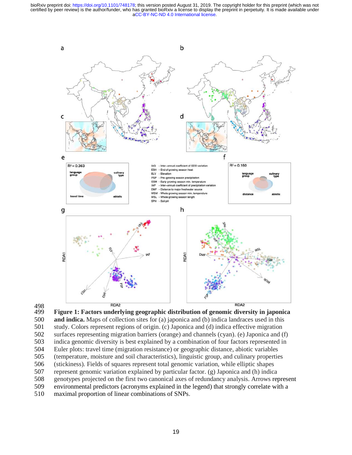

498<br>499 499 **Figure 1: Factors underlying geographic distribution of genomic diversity in japonica**  500 **and indica.** Maps of collection sites for (a) japonica and (b) indica landraces used in this

501 study. Colors represent regions of origin. (c) Japonica and (d) indica effective migration 502 surfaces representing migration barriers (orange) and channels (cyan). (e) Japonica and (f) 503 indica genomic diversity is best explained by a combination of four factors represented in 504 Euler plots: travel time (migration resistance) or geographic distance, abiotic variables 505 (temperature, moisture and soil characteristics), linguistic group, and culinary properties 506 (stickiness). Fields of squares represent total genomic variation, while elliptic shapes

- 507 represent genomic variation explained by particular factor. (g) Japonica and (h) indica
- 508 genotypes projected on the first two canonical axes of redundancy analysis. Arrows represent
- 509 environmental predictors (acronyms explained in the legend) that strongly correlate with a
- 510 maximal proportion of linear combinations of SNPs.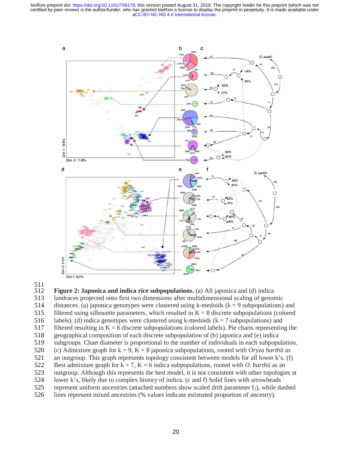



511 **Figure 2: Japonica and indica rice subpopulations.** (a) All japonica and (d) indica 513 landraces projected onto first two dimensions after multidimensional scaling of genomic 514 distances. (a) japonica genotypes were clustered using k-medoids  $(k = 9$  subpopulations) and 515 filtered using silhouette parameters, which resulted in  $K = 8$  discrete subpopulations (colored 516 labels). (d) indica genotypes were clustered using k-medoids ( $k = 7$  subpopulations) and 517 filtered resulting in  $K = 6$  discrete subpopulations (colored labels). Pie charts representing the 518 geographical composition of each discrete subpopulation of (b) japonica and (e) indica<br>519 subgroups. Chart diameter is proportional to the number of individuals in each subpopu subgroups. Chart diameter is proportional to the number of individuals in each subpopulation. 520 (c) Admixture graph for  $k = 9$ ,  $K = 8$  japonica subpopulations, rooted with *Oryza barthii* as<br>521 an outgroup. This graph represents topology consistent between models for all lower k's. (f) an outgroup. This graph represents topology consistent between models for all lower  $k$ 's. (f) 522 Best admixture graph for  $k = 7$ ,  $K = 6$  indica subpopulations, rooted with *O. barthii* as an 523 outgroup. Although this represents the best model, it is not consistent with other topologies at 524 lower k's, likely due to complex history of indica. (c and f) Solid lines with arrowheads 525 represent uniform ancestries (attached numbers show scaled drift parameter  $f_2$ ), while dashed<br>526 lines represent mixed ancestries (% values indicate estimated proportion of ancestry).

lines represent mixed ancestries (% values indicate estimated proportion of ancestry).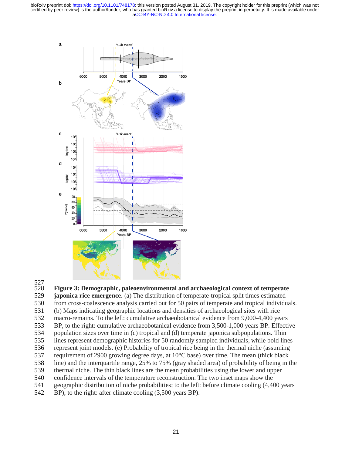

528 **Figure 3: Demographic, paleoenvironmental and archaeological context of temperate** 

- 529 **japonica rice emergence.** (a) The distribution of temperate-tropical split times estimated 530 from cross-coalescence analysis carried out for 50 pairs of temperate and tropical individuals.
- 
- 531 (b) Maps indicating geographic locations and densities of archaeological sites with rice
- 532 macro-remains. To the left: cumulative archaeobotanical evidence from 9,000-4,400 years
- 533 BP, to the right: cumulative archaeobotanical evidence from 3,500-1,000 years BP. Effective
- 534 population sizes over time in (c) tropical and (d) temperate japonica subpopulations. Thin
- 535 lines represent demographic histories for 50 randomly sampled individuals, while bold lines 536 represent joint models. (e) Probability of tropical rice being in the thermal niche (assuming
- 537 requirement of 2900 growing degree days, at 10°C base) over time. The mean (thick black
- 538 line) and the interquartile range, 25% to 75% (gray shaded area) of probability of being in the
- 539 thermal niche. The thin black lines are the mean probabilities using the lower and upper
- 540 confidence intervals of the temperature reconstruction. The two inset maps show the
- 541 geographic distribution of niche probabilities; to the left: before climate cooling (4,400 years
- 542 BP), to the right: after climate cooling (3,500 years BP).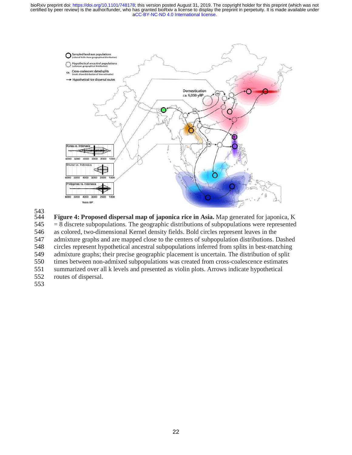

543<br>544 Figure 4: Proposed dispersal map of japonica rice in Asia. Map generated for japonica, K  $545 = 8$  discrete subpopulations. The geographic distributions of subpopulations were represented 546 as colored, two-dimensional Kernel density fields. Bold circles represent leaves in the 547 admixture graphs and are mapped close to the centers of subpopulation distributions. Dashed 548 circles represent hypothetical ancestral subpopulations inferred from splits in best-matching 549 admixture graphs; their precise geographic placement is uncertain. The distribution of split 550 times between non-admixed subpopulations was created from cross-coalescence estimates 551 summarized over all k levels and presented as violin plots. Arrows indicate hypothetical 552 routes of dispersal. 553